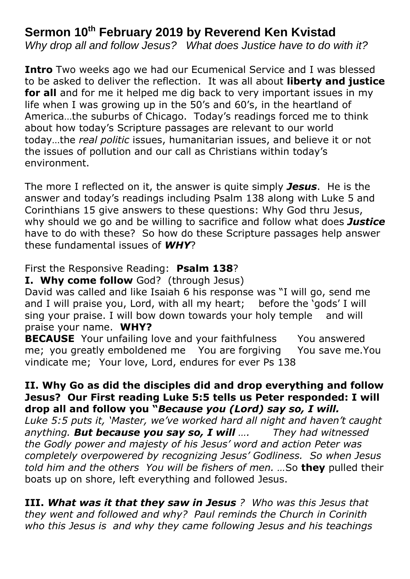## **Sermon 10th February 2019 by Reverend Ken Kvistad**

*Why drop all and follow Jesus? What does Justice have to do with it?*

**Intro** Two weeks ago we had our Ecumenical Service and I was blessed to be asked to deliver the reflection. It was all about **liberty and justice for all** and for me it helped me dig back to very important issues in my life when I was growing up in the 50's and 60's, in the heartland of America…the suburbs of Chicago. Today's readings forced me to think about how today's Scripture passages are relevant to our world today…the *real politic* issues, humanitarian issues, and believe it or not the issues of pollution and our call as Christians within today's environment.

The more I reflected on it, the answer is quite simply *Jesus*. He is the answer and today's readings including Psalm 138 along with Luke 5 and Corinthians 15 give answers to these questions: Why God thru Jesus, why should we go and be willing to sacrifice and follow what does *Justice* have to do with these? So how do these Scripture passages help answer these fundamental issues of *WHY*?

## First the Responsive Reading: **Psalm 138**?

**I. Why come follow** God? (through Jesus)

David was called and like Isaiah 6 his response was "I will go, send me and I will praise you, Lord, with all my heart; before the 'gods' I will sing your praise. I will bow down towards your holy temple and will praise your name. **WHY?**

**BECAUSE** Your unfailing love and your faithfulness You answered me; you greatly emboldened me You are forgiving You save me.You vindicate me; Your love, Lord, endures for ever Ps 138

## **II. Why Go as did the disciples did and drop everything and follow Jesus? Our First reading Luke 5:5 tells us Peter responded: I will drop all and follow you "***Because you (Lord) say so, I will.*

*Luke 5:5 puts it, 'Master, we've worked hard all night and haven't caught anything. But because you say so, I will …. They had witnessed the Godly power and majesty of his Jesus' word and action Peter was completely overpowered by recognizing Jesus' Godliness. So when Jesus told him and the others You will be fishers of men. …*So **they** pulled their boats up on shore, left everything and followed Jesus.

**III.** *What was it that they saw in Jesus ? Who was this Jesus that they went and followed and why? Paul reminds the Church in Corinith who this Jesus is and why they came following Jesus and his teachings*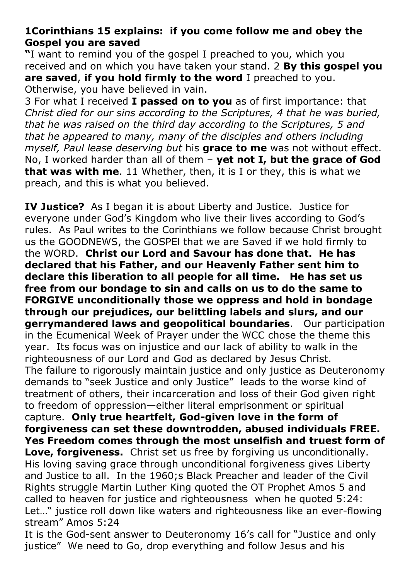## **1Corinthians 15 explains: if you come follow me and obey the Gospel you are saved**

**"**I want to remind you of the gospel I preached to you, which you received and on which you have taken your stand. 2 **By this gospel you are saved**, **if you hold firmly to the word** I preached to you. Otherwise, you have believed in vain.

3 For what I received **I passed on to you** as of first importance: that *Christ died for our sins according to the Scriptures, 4 that he was buried, that he was raised on the third day according to the Scriptures, 5 and that he appeared to many, many of the disciples and others including myself, Paul lease deserving but* his **grace to me** was not without effect. No, I worked harder than all of them – **yet not I, but the grace of God that was with me**. 11 Whether, then, it is I or they, this is what we preach, and this is what you believed.

**IV Justice?** As I began it is about Liberty and Justice. Justice for everyone under God's Kingdom who live their lives according to God's rules. As Paul writes to the Corinthians we follow because Christ brought us the GOODNEWS, the GOSPEl that we are Saved if we hold firmly to the WORD. **Christ our Lord and Savour has done that. He has declared that his Father, and our Heavenly Father sent him to declare this liberation to all people for all time. He has set us free from our bondage to sin and calls on us to do the same to FORGIVE unconditionally those we oppress and hold in bondage through our prejudices, our belittling labels and slurs, and our gerrymandered laws and geopolitical boundaries**. Our participation in the Ecumenical Week of Prayer under the WCC chose the theme this year. Its focus was on injustice and our lack of ability to walk in the righteousness of our Lord and God as declared by Jesus Christ. The failure to rigorously maintain justice and only justice as Deuteronomy demands to "seek Justice and only Justice" leads to the worse kind of treatment of others, their incarceration and loss of their God given right to freedom of oppression—either literal emprisonment or spiritual capture. **Only true heartfelt, God-given love in the form of forgiveness can set these downtrodden, abused individuals FREE. Yes Freedom comes through the most unselfish and truest form of Love, forgiveness.** Christ set us free by forgiving us unconditionally. His loving saving grace through unconditional forgiveness gives Liberty and Justice to all. In the 1960;s Black Preacher and leader of the Civil Rights struggle Martin Luther King quoted the OT Prophet Amos 5 and called to heaven for justice and righteousness when he quoted 5:24: Let..." justice roll down like waters and righteousness like an ever-flowing stream" Amos 5:24

It is the God-sent answer to Deuteronomy 16's call for "Justice and only justice" We need to Go, drop everything and follow Jesus and his